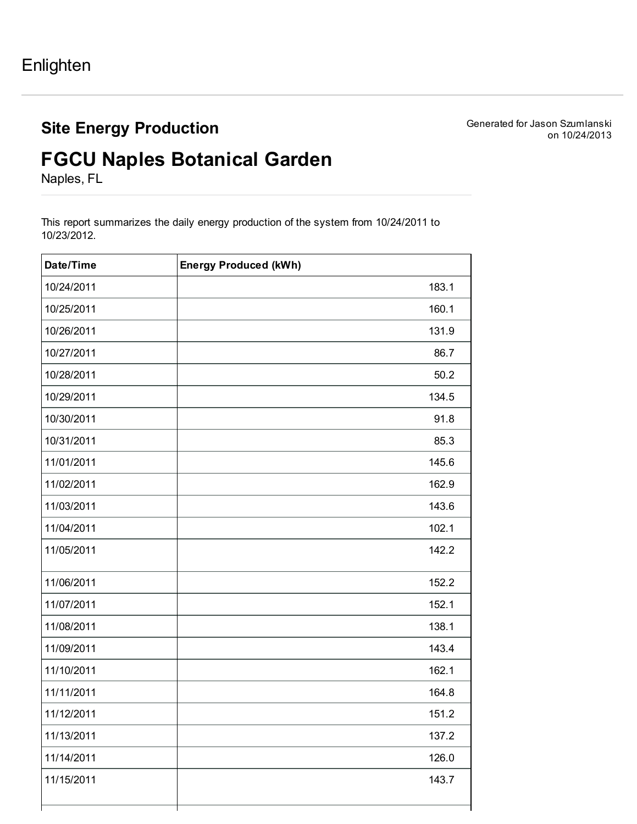## Site Energy Production

Generated for Jason Szumlanski on 10/24/2013

## FGCU Naples Botanical Garden

Naples, FL

This report summarizes the daily energy production of the system from 10/24/2011 to 10/23/2012.

| Date/Time  | <b>Energy Produced (kWh)</b> |
|------------|------------------------------|
| 10/24/2011 | 183.1                        |
| 10/25/2011 | 160.1                        |
| 10/26/2011 | 131.9                        |
| 10/27/2011 | 86.7                         |
| 10/28/2011 | 50.2                         |
| 10/29/2011 | 134.5                        |
| 10/30/2011 | 91.8                         |
| 10/31/2011 | 85.3                         |
| 11/01/2011 | 145.6                        |
| 11/02/2011 | 162.9                        |
| 11/03/2011 | 143.6                        |
| 11/04/2011 | 102.1                        |
| 11/05/2011 | 142.2                        |
| 11/06/2011 | 152.2                        |
| 11/07/2011 | 152.1                        |
| 11/08/2011 | 138.1                        |
| 11/09/2011 | 143.4                        |
| 11/10/2011 | 162.1                        |
| 11/11/2011 | 164.8                        |
| 11/12/2011 | 151.2                        |
| 11/13/2011 | 137.2                        |
| 11/14/2011 | 126.0                        |
| 11/15/2011 | 143.7                        |
|            |                              |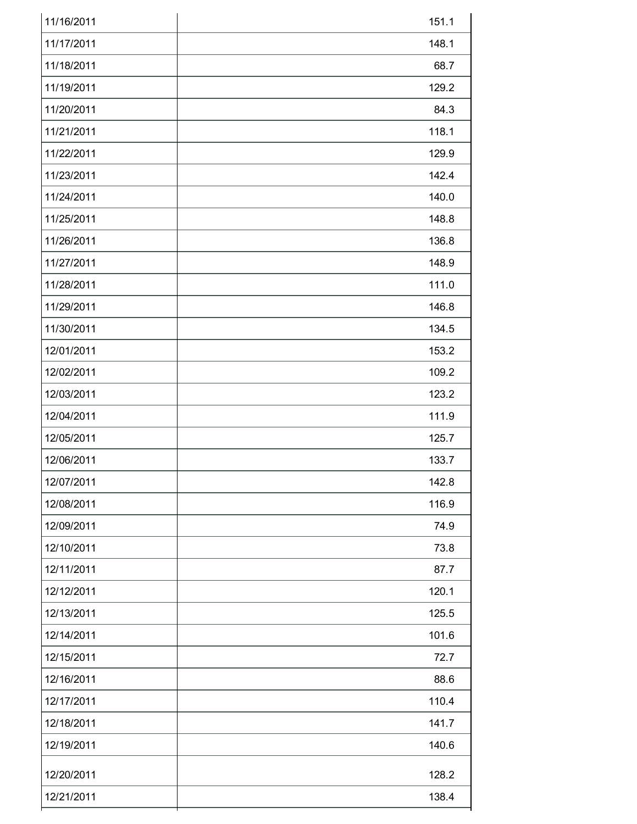| 11/16/2011 | 151.1 |
|------------|-------|
| 11/17/2011 | 148.1 |
| 11/18/2011 | 68.7  |
| 11/19/2011 | 129.2 |
| 11/20/2011 | 84.3  |
| 11/21/2011 | 118.1 |
| 11/22/2011 | 129.9 |
| 11/23/2011 | 142.4 |
| 11/24/2011 | 140.0 |
| 11/25/2011 | 148.8 |
| 11/26/2011 | 136.8 |
| 11/27/2011 | 148.9 |
| 11/28/2011 | 111.0 |
| 11/29/2011 | 146.8 |
| 11/30/2011 | 134.5 |
| 12/01/2011 | 153.2 |
| 12/02/2011 | 109.2 |
| 12/03/2011 | 123.2 |
| 12/04/2011 | 111.9 |
| 12/05/2011 | 125.7 |
| 12/06/2011 | 133.7 |
| 12/07/2011 | 142.8 |
| 12/08/2011 | 116.9 |
| 12/09/2011 | 74.9  |
| 12/10/2011 | 73.8  |
| 12/11/2011 | 87.7  |
| 12/12/2011 | 120.1 |
| 12/13/2011 | 125.5 |
| 12/14/2011 | 101.6 |
| 12/15/2011 | 72.7  |
| 12/16/2011 | 88.6  |
| 12/17/2011 | 110.4 |
| 12/18/2011 | 141.7 |
| 12/19/2011 | 140.6 |
| 12/20/2011 | 128.2 |
| 12/21/2011 | 138.4 |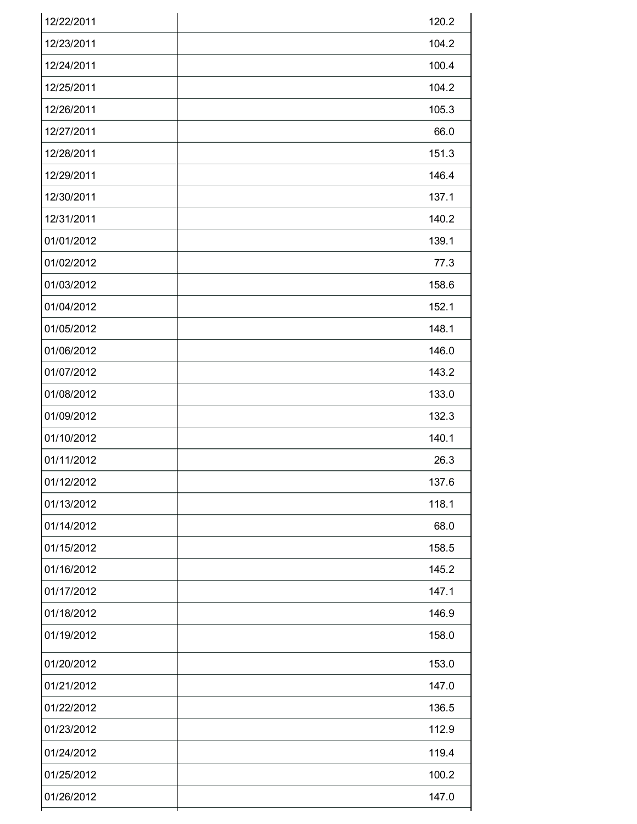| 12/22/2011 | 120.2 |
|------------|-------|
| 12/23/2011 | 104.2 |
| 12/24/2011 | 100.4 |
| 12/25/2011 | 104.2 |
| 12/26/2011 | 105.3 |
| 12/27/2011 | 66.0  |
| 12/28/2011 | 151.3 |
| 12/29/2011 | 146.4 |
| 12/30/2011 | 137.1 |
| 12/31/2011 | 140.2 |
| 01/01/2012 | 139.1 |
| 01/02/2012 | 77.3  |
| 01/03/2012 | 158.6 |
| 01/04/2012 | 152.1 |
| 01/05/2012 | 148.1 |
| 01/06/2012 | 146.0 |
| 01/07/2012 | 143.2 |
| 01/08/2012 | 133.0 |
| 01/09/2012 | 132.3 |
| 01/10/2012 | 140.1 |
| 01/11/2012 | 26.3  |
| 01/12/2012 | 137.6 |
| 01/13/2012 | 118.1 |
| 01/14/2012 | 68.0  |
| 01/15/2012 | 158.5 |
| 01/16/2012 | 145.2 |
| 01/17/2012 | 147.1 |
| 01/18/2012 | 146.9 |
| 01/19/2012 | 158.0 |
| 01/20/2012 | 153.0 |
| 01/21/2012 | 147.0 |
| 01/22/2012 | 136.5 |
| 01/23/2012 | 112.9 |
| 01/24/2012 | 119.4 |
| 01/25/2012 | 100.2 |
| 01/26/2012 | 147.0 |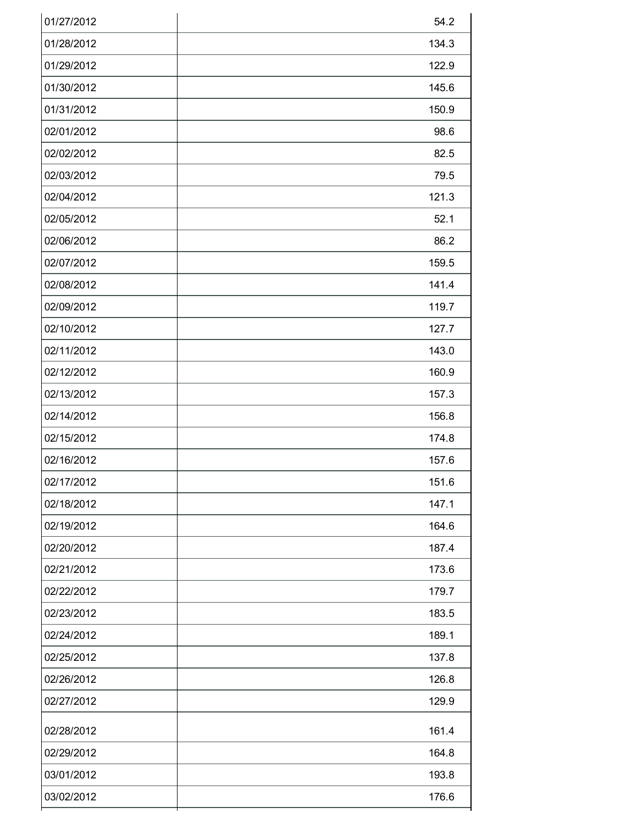| 01/27/2012 | 54.2  |
|------------|-------|
| 01/28/2012 | 134.3 |
| 01/29/2012 | 122.9 |
| 01/30/2012 | 145.6 |
| 01/31/2012 | 150.9 |
| 02/01/2012 | 98.6  |
| 02/02/2012 | 82.5  |
| 02/03/2012 | 79.5  |
| 02/04/2012 | 121.3 |
| 02/05/2012 | 52.1  |
| 02/06/2012 | 86.2  |
| 02/07/2012 | 159.5 |
| 02/08/2012 | 141.4 |
| 02/09/2012 | 119.7 |
| 02/10/2012 | 127.7 |
| 02/11/2012 | 143.0 |
| 02/12/2012 | 160.9 |
| 02/13/2012 | 157.3 |
| 02/14/2012 | 156.8 |
| 02/15/2012 | 174.8 |
| 02/16/2012 | 157.6 |
| 02/17/2012 | 151.6 |
| 02/18/2012 | 147.1 |
| 02/19/2012 | 164.6 |
| 02/20/2012 | 187.4 |
| 02/21/2012 | 173.6 |
| 02/22/2012 | 179.7 |
| 02/23/2012 | 183.5 |
| 02/24/2012 | 189.1 |
| 02/25/2012 | 137.8 |
| 02/26/2012 | 126.8 |
| 02/27/2012 | 129.9 |
| 02/28/2012 | 161.4 |
| 02/29/2012 | 164.8 |
| 03/01/2012 | 193.8 |
| 03/02/2012 | 176.6 |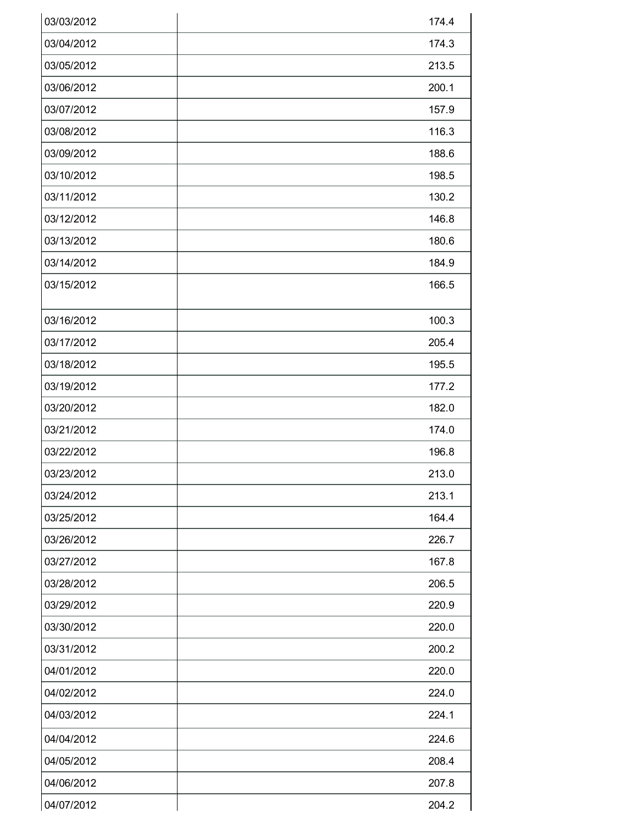| 03/03/2012 | 174.4 |
|------------|-------|
| 03/04/2012 | 174.3 |
| 03/05/2012 | 213.5 |
| 03/06/2012 | 200.1 |
| 03/07/2012 | 157.9 |
| 03/08/2012 | 116.3 |
| 03/09/2012 | 188.6 |
| 03/10/2012 | 198.5 |
| 03/11/2012 | 130.2 |
| 03/12/2012 | 146.8 |
| 03/13/2012 | 180.6 |
| 03/14/2012 | 184.9 |
| 03/15/2012 | 166.5 |
| 03/16/2012 | 100.3 |
| 03/17/2012 | 205.4 |
| 03/18/2012 | 195.5 |
| 03/19/2012 | 177.2 |
| 03/20/2012 | 182.0 |
| 03/21/2012 | 174.0 |
| 03/22/2012 | 196.8 |
| 03/23/2012 | 213.0 |
| 03/24/2012 | 213.1 |
| 03/25/2012 | 164.4 |
| 03/26/2012 | 226.7 |
| 03/27/2012 | 167.8 |
| 03/28/2012 | 206.5 |
| 03/29/2012 | 220.9 |
| 03/30/2012 | 220.0 |
| 03/31/2012 | 200.2 |
| 04/01/2012 | 220.0 |
| 04/02/2012 | 224.0 |
| 04/03/2012 | 224.1 |
| 04/04/2012 | 224.6 |
| 04/05/2012 | 208.4 |
| 04/06/2012 | 207.8 |
| 04/07/2012 | 204.2 |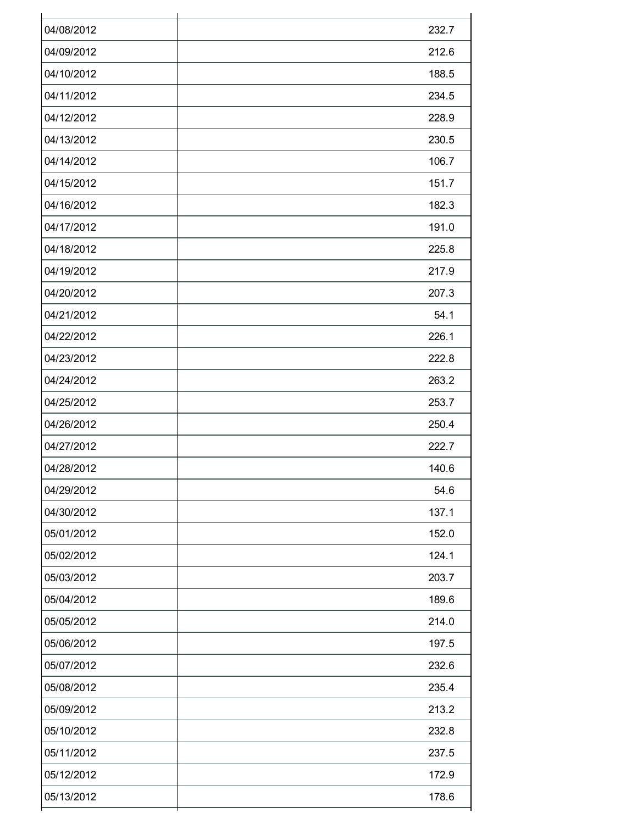| 04/08/2012 | 232.7 |
|------------|-------|
| 04/09/2012 | 212.6 |
| 04/10/2012 | 188.5 |
| 04/11/2012 | 234.5 |
| 04/12/2012 | 228.9 |
| 04/13/2012 | 230.5 |
| 04/14/2012 | 106.7 |
| 04/15/2012 | 151.7 |
| 04/16/2012 | 182.3 |
| 04/17/2012 | 191.0 |
| 04/18/2012 | 225.8 |
| 04/19/2012 | 217.9 |
| 04/20/2012 | 207.3 |
| 04/21/2012 | 54.1  |
| 04/22/2012 | 226.1 |
| 04/23/2012 | 222.8 |
| 04/24/2012 | 263.2 |
| 04/25/2012 | 253.7 |
| 04/26/2012 | 250.4 |
| 04/27/2012 | 222.7 |
| 04/28/2012 | 140.6 |
| 04/29/2012 | 54.6  |
| 04/30/2012 | 137.1 |
| 05/01/2012 | 152.0 |
| 05/02/2012 | 124.1 |
| 05/03/2012 | 203.7 |
| 05/04/2012 | 189.6 |
| 05/05/2012 | 214.0 |
| 05/06/2012 | 197.5 |
| 05/07/2012 | 232.6 |
| 05/08/2012 | 235.4 |
| 05/09/2012 | 213.2 |
| 05/10/2012 | 232.8 |
| 05/11/2012 | 237.5 |
| 05/12/2012 | 172.9 |
| 05/13/2012 | 178.6 |
|            |       |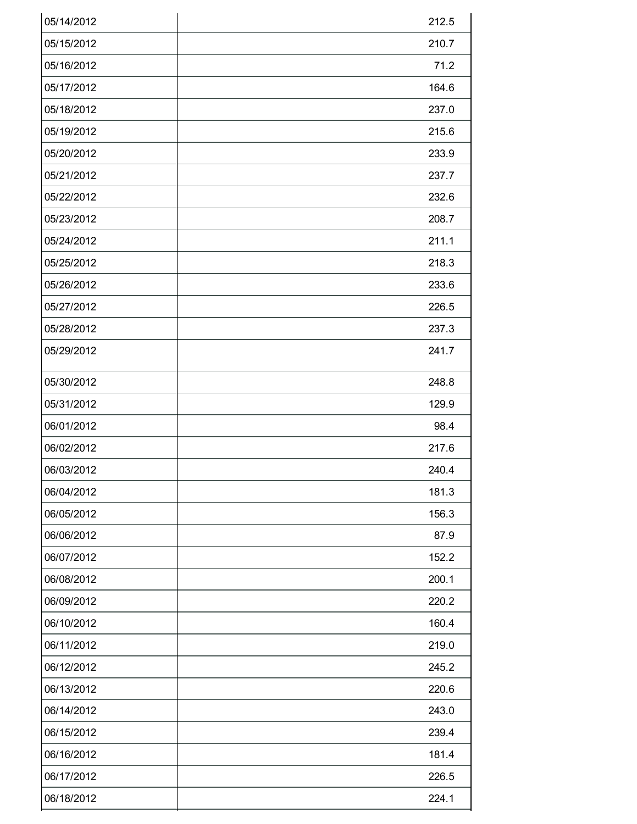| 05/14/2012 | 212.5 |
|------------|-------|
| 05/15/2012 | 210.7 |
| 05/16/2012 | 71.2  |
| 05/17/2012 | 164.6 |
| 05/18/2012 | 237.0 |
| 05/19/2012 | 215.6 |
| 05/20/2012 | 233.9 |
| 05/21/2012 | 237.7 |
| 05/22/2012 | 232.6 |
| 05/23/2012 | 208.7 |
| 05/24/2012 | 211.1 |
| 05/25/2012 | 218.3 |
| 05/26/2012 | 233.6 |
| 05/27/2012 | 226.5 |
| 05/28/2012 | 237.3 |
| 05/29/2012 | 241.7 |
| 05/30/2012 | 248.8 |
| 05/31/2012 | 129.9 |
| 06/01/2012 | 98.4  |
| 06/02/2012 | 217.6 |
| 06/03/2012 | 240.4 |
| 06/04/2012 | 181.3 |
| 06/05/2012 | 156.3 |
| 06/06/2012 | 87.9  |
| 06/07/2012 | 152.2 |
| 06/08/2012 | 200.1 |
| 06/09/2012 | 220.2 |
| 06/10/2012 | 160.4 |
| 06/11/2012 | 219.0 |
| 06/12/2012 | 245.2 |
| 06/13/2012 | 220.6 |
| 06/14/2012 | 243.0 |
| 06/15/2012 | 239.4 |
| 06/16/2012 | 181.4 |
| 06/17/2012 | 226.5 |
| 06/18/2012 | 224.1 |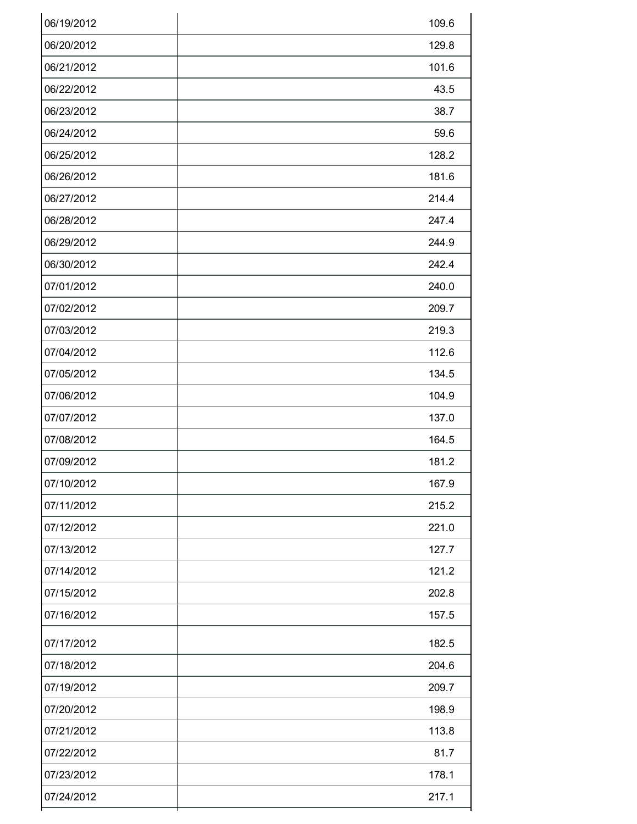| 06/19/2012 | 109.6 |
|------------|-------|
| 06/20/2012 | 129.8 |
| 06/21/2012 | 101.6 |
| 06/22/2012 | 43.5  |
| 06/23/2012 | 38.7  |
| 06/24/2012 | 59.6  |
| 06/25/2012 | 128.2 |
| 06/26/2012 | 181.6 |
| 06/27/2012 | 214.4 |
| 06/28/2012 | 247.4 |
| 06/29/2012 | 244.9 |
| 06/30/2012 | 242.4 |
| 07/01/2012 | 240.0 |
| 07/02/2012 | 209.7 |
| 07/03/2012 | 219.3 |
| 07/04/2012 | 112.6 |
| 07/05/2012 | 134.5 |
| 07/06/2012 | 104.9 |
| 07/07/2012 | 137.0 |
| 07/08/2012 | 164.5 |
| 07/09/2012 | 181.2 |
| 07/10/2012 | 167.9 |
| 07/11/2012 | 215.2 |
| 07/12/2012 | 221.0 |
| 07/13/2012 | 127.7 |
| 07/14/2012 | 121.2 |
| 07/15/2012 | 202.8 |
| 07/16/2012 | 157.5 |
| 07/17/2012 | 182.5 |
| 07/18/2012 | 204.6 |
| 07/19/2012 | 209.7 |
| 07/20/2012 | 198.9 |
| 07/21/2012 | 113.8 |
| 07/22/2012 | 81.7  |
| 07/23/2012 | 178.1 |
| 07/24/2012 | 217.1 |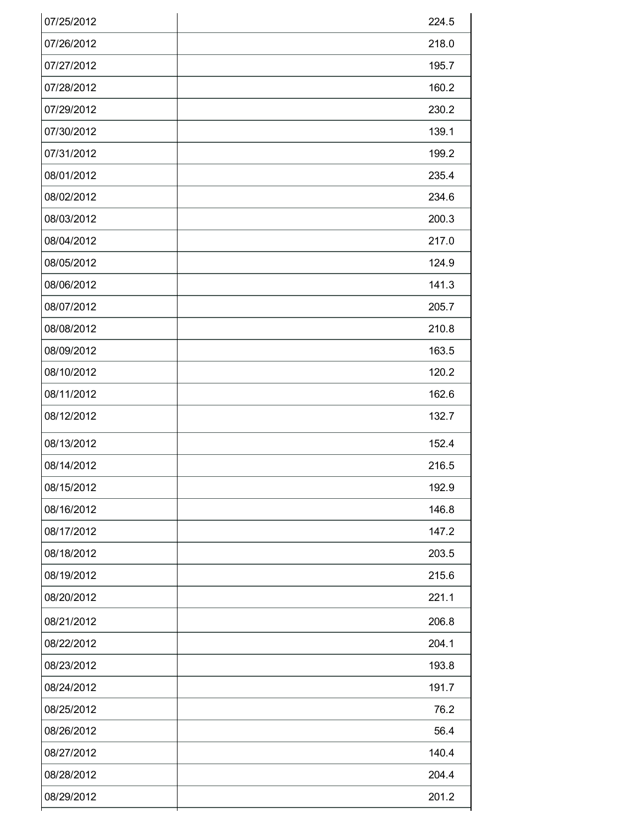| 07/25/2012 | 224.5 |
|------------|-------|
| 07/26/2012 | 218.0 |
| 07/27/2012 | 195.7 |
| 07/28/2012 | 160.2 |
| 07/29/2012 | 230.2 |
| 07/30/2012 | 139.1 |
| 07/31/2012 | 199.2 |
| 08/01/2012 | 235.4 |
| 08/02/2012 | 234.6 |
| 08/03/2012 | 200.3 |
| 08/04/2012 | 217.0 |
| 08/05/2012 | 124.9 |
| 08/06/2012 | 141.3 |
| 08/07/2012 | 205.7 |
| 08/08/2012 | 210.8 |
| 08/09/2012 | 163.5 |
| 08/10/2012 | 120.2 |
| 08/11/2012 | 162.6 |
| 08/12/2012 | 132.7 |
| 08/13/2012 | 152.4 |
| 08/14/2012 | 216.5 |
| 08/15/2012 | 192.9 |
| 08/16/2012 | 146.8 |
| 08/17/2012 | 147.2 |
| 08/18/2012 | 203.5 |
| 08/19/2012 | 215.6 |
| 08/20/2012 | 221.1 |
| 08/21/2012 | 206.8 |
| 08/22/2012 | 204.1 |
| 08/23/2012 | 193.8 |
| 08/24/2012 | 191.7 |
| 08/25/2012 | 76.2  |
| 08/26/2012 | 56.4  |
| 08/27/2012 | 140.4 |
| 08/28/2012 | 204.4 |
| 08/29/2012 | 201.2 |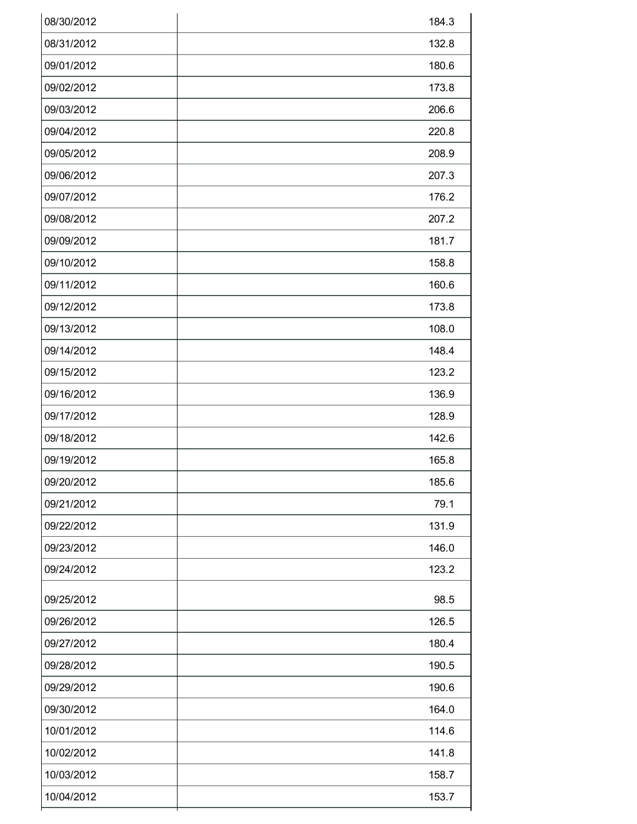| 08/31/2012<br>132.8<br>09/01/2012<br>180.6<br>09/02/2012<br>173.8<br>09/03/2012<br>206.6<br>09/04/2012<br>220.8<br>09/05/2012<br>208.9<br>09/06/2012<br>207.3<br>09/07/2012<br>176.2<br>09/08/2012<br>207.2<br>09/09/2012<br>181.7<br>09/10/2012<br>158.8<br>09/11/2012<br>160.6<br>09/12/2012<br>173.8<br>09/13/2012<br>108.0<br>09/14/2012<br>148.4<br>09/15/2012<br>123.2<br>09/16/2012<br>136.9<br>09/17/2012<br>128.9<br>09/18/2012<br>142.6<br>09/19/2012<br>165.8<br>09/20/2012<br>185.6<br>79.1<br>09/21/2012<br>09/22/2012<br>131.9<br>146.0<br>09/23/2012<br>123.2<br>09/24/2012<br>09/25/2012<br>98.5<br>09/26/2012<br>126.5<br>09/27/2012<br>180.4<br>09/28/2012<br>190.5<br>190.6<br>09/29/2012<br>09/30/2012<br>164.0 | 08/30/2012 | 184.3 |
|-------------------------------------------------------------------------------------------------------------------------------------------------------------------------------------------------------------------------------------------------------------------------------------------------------------------------------------------------------------------------------------------------------------------------------------------------------------------------------------------------------------------------------------------------------------------------------------------------------------------------------------------------------------------------------------------------------------------------------------|------------|-------|
|                                                                                                                                                                                                                                                                                                                                                                                                                                                                                                                                                                                                                                                                                                                                     |            |       |
|                                                                                                                                                                                                                                                                                                                                                                                                                                                                                                                                                                                                                                                                                                                                     |            |       |
|                                                                                                                                                                                                                                                                                                                                                                                                                                                                                                                                                                                                                                                                                                                                     |            |       |
|                                                                                                                                                                                                                                                                                                                                                                                                                                                                                                                                                                                                                                                                                                                                     |            |       |
|                                                                                                                                                                                                                                                                                                                                                                                                                                                                                                                                                                                                                                                                                                                                     |            |       |
|                                                                                                                                                                                                                                                                                                                                                                                                                                                                                                                                                                                                                                                                                                                                     |            |       |
|                                                                                                                                                                                                                                                                                                                                                                                                                                                                                                                                                                                                                                                                                                                                     |            |       |
|                                                                                                                                                                                                                                                                                                                                                                                                                                                                                                                                                                                                                                                                                                                                     |            |       |
|                                                                                                                                                                                                                                                                                                                                                                                                                                                                                                                                                                                                                                                                                                                                     |            |       |
|                                                                                                                                                                                                                                                                                                                                                                                                                                                                                                                                                                                                                                                                                                                                     |            |       |
|                                                                                                                                                                                                                                                                                                                                                                                                                                                                                                                                                                                                                                                                                                                                     |            |       |
|                                                                                                                                                                                                                                                                                                                                                                                                                                                                                                                                                                                                                                                                                                                                     |            |       |
|                                                                                                                                                                                                                                                                                                                                                                                                                                                                                                                                                                                                                                                                                                                                     |            |       |
|                                                                                                                                                                                                                                                                                                                                                                                                                                                                                                                                                                                                                                                                                                                                     |            |       |
|                                                                                                                                                                                                                                                                                                                                                                                                                                                                                                                                                                                                                                                                                                                                     |            |       |
|                                                                                                                                                                                                                                                                                                                                                                                                                                                                                                                                                                                                                                                                                                                                     |            |       |
|                                                                                                                                                                                                                                                                                                                                                                                                                                                                                                                                                                                                                                                                                                                                     |            |       |
|                                                                                                                                                                                                                                                                                                                                                                                                                                                                                                                                                                                                                                                                                                                                     |            |       |
|                                                                                                                                                                                                                                                                                                                                                                                                                                                                                                                                                                                                                                                                                                                                     |            |       |
|                                                                                                                                                                                                                                                                                                                                                                                                                                                                                                                                                                                                                                                                                                                                     |            |       |
|                                                                                                                                                                                                                                                                                                                                                                                                                                                                                                                                                                                                                                                                                                                                     |            |       |
|                                                                                                                                                                                                                                                                                                                                                                                                                                                                                                                                                                                                                                                                                                                                     |            |       |
|                                                                                                                                                                                                                                                                                                                                                                                                                                                                                                                                                                                                                                                                                                                                     |            |       |
|                                                                                                                                                                                                                                                                                                                                                                                                                                                                                                                                                                                                                                                                                                                                     |            |       |
|                                                                                                                                                                                                                                                                                                                                                                                                                                                                                                                                                                                                                                                                                                                                     |            |       |
|                                                                                                                                                                                                                                                                                                                                                                                                                                                                                                                                                                                                                                                                                                                                     |            |       |
|                                                                                                                                                                                                                                                                                                                                                                                                                                                                                                                                                                                                                                                                                                                                     |            |       |
|                                                                                                                                                                                                                                                                                                                                                                                                                                                                                                                                                                                                                                                                                                                                     |            |       |
|                                                                                                                                                                                                                                                                                                                                                                                                                                                                                                                                                                                                                                                                                                                                     |            |       |
|                                                                                                                                                                                                                                                                                                                                                                                                                                                                                                                                                                                                                                                                                                                                     |            |       |
|                                                                                                                                                                                                                                                                                                                                                                                                                                                                                                                                                                                                                                                                                                                                     |            |       |
| 10/01/2012<br>114.6                                                                                                                                                                                                                                                                                                                                                                                                                                                                                                                                                                                                                                                                                                                 |            |       |
| 10/02/2012<br>141.8                                                                                                                                                                                                                                                                                                                                                                                                                                                                                                                                                                                                                                                                                                                 |            |       |
| 10/03/2012<br>158.7                                                                                                                                                                                                                                                                                                                                                                                                                                                                                                                                                                                                                                                                                                                 |            |       |
| 10/04/2012<br>153.7                                                                                                                                                                                                                                                                                                                                                                                                                                                                                                                                                                                                                                                                                                                 |            |       |